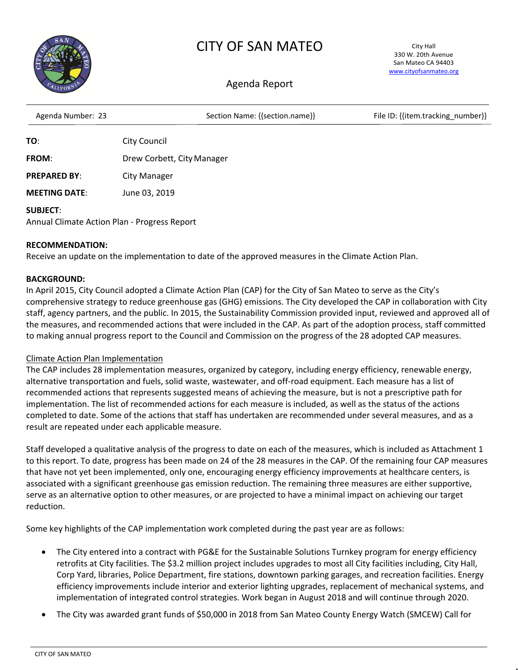

# CITY OF SAN MATEO

City Hall 330 W. 20th Avenue San Mateo CA 94403 [www.cityofsanmateo.org](http://www.cityofsanmateo.org/)

# Agenda Report

| Agenda Number: 23   | Section Name: {{section.name}} | File ID: {{item.tracking number}} |
|---------------------|--------------------------------|-----------------------------------|
| TO:                 | City Council                   |                                   |
| <b>FROM:</b>        | Drew Corbett, City Manager     |                                   |
| <b>PREPARED BY:</b> | <b>City Manager</b>            |                                   |

**MEETING DATE**: June 03, 2019

### **SUBJECT**:

Annual Climate Action Plan - Progress Report

### **RECOMMENDATION:**

Receive an update on the implementation to date of the approved measures in the Climate Action Plan.

### **BACKGROUND:**

In April 2015, City Council adopted a Climate Action Plan (CAP) for the City of San Mateo to serve as the City's comprehensive strategy to reduce greenhouse gas (GHG) emissions. The City developed the CAP in collaboration with City staff, agency partners, and the public. In 2015, the Sustainability Commission provided input, reviewed and approved all of the measures, and recommended actions that were included in the CAP. As part of the adoption process, staff committed to making annual progress report to the Council and Commission on the progress of the 28 adopted CAP measures.

#### Climate Action Plan Implementation

The CAP includes 28 implementation measures, organized by category, including energy efficiency, renewable energy, alternative transportation and fuels, solid waste, wastewater, and off-road equipment. Each measure has a list of recommended actions that represents suggested means of achieving the measure, but is not a prescriptive path for implementation. The list of recommended actions for each measure is included, as well as the status of the actions completed to date. Some of the actions that staff has undertaken are recommended under several measures, and as a result are repeated under each applicable measure.

Staff developed a qualitative analysis of the progress to date on each of the measures, which is included as Attachment 1 to this report. To date, progress has been made on 24 of the 28 measures in the CAP. Of the remaining four CAP measures that have not yet been implemented, only one, encouraging energy efficiency improvements at healthcare centers, is associated with a significant greenhouse gas emission reduction. The remaining three measures are either supportive, serve as an alternative option to other measures, or are projected to have a minimal impact on achieving our target reduction.

Some key highlights of the CAP implementation work completed during the past year are as follows:

- The City entered into a contract with PG&E for the Sustainable Solutions Turnkey program for energy efficiency retrofits at City facilities. The \$3.2 million project includes upgrades to most all City facilities including, City Hall, Corp Yard, libraries, Police Department, fire stations, downtown parking garages, and recreation facilities. Energy efficiency improvements include interior and exterior lighting upgrades, replacement of mechanical systems, and implementation of integrated control strategies. Work began in August 2018 and will continue through 2020.
- The City was awarded grant funds of \$50,000 in 2018 from San Mateo County Energy Watch (SMCEW) Call for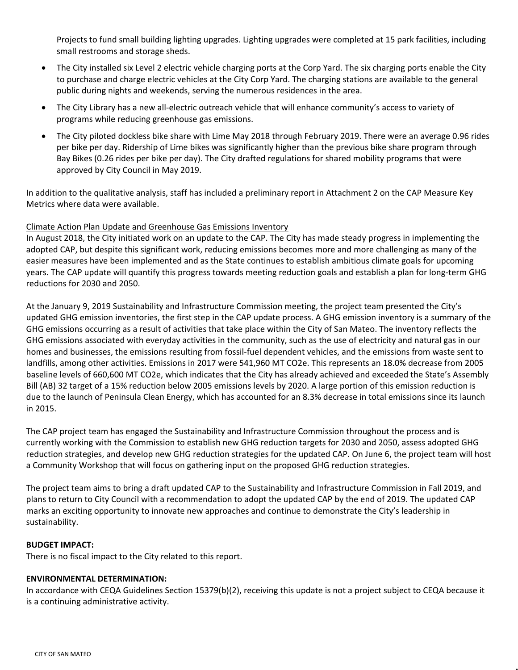Projects to fund small building lighting upgrades. Lighting upgrades were completed at 15 park facilities, including small restrooms and storage sheds.

- The City installed six Level 2 electric vehicle charging ports at the Corp Yard. The six charging ports enable the City to purchase and charge electric vehicles at the City Corp Yard. The charging stations are available to the general public during nights and weekends, serving the numerous residences in the area.
- The City Library has a new all-electric outreach vehicle that will enhance community's access to variety of programs while reducing greenhouse gas emissions.
- The City piloted dockless bike share with Lime May 2018 through February 2019. There were an average 0.96 rides per bike per day. Ridership of Lime bikes was significantly higher than the previous bike share program through Bay Bikes (0.26 rides per bike per day). The City drafted regulations for shared mobility programs that were approved by City Council in May 2019.

In addition to the qualitative analysis, staff has included a preliminary report in Attachment 2 on the CAP Measure Key Metrics where data were available.

## Climate Action Plan Update and Greenhouse Gas Emissions Inventory

In August 2018, the City initiated work on an update to the CAP. The City has made steady progress in implementing the adopted CAP, but despite this significant work, reducing emissions becomes more and more challenging as many of the easier measures have been implemented and as the State continues to establish ambitious climate goals for upcoming years. The CAP update will quantify this progress towards meeting reduction goals and establish a plan for long-term GHG reductions for 2030 and 2050.

At the January 9, 2019 Sustainability and Infrastructure Commission meeting, the project team presented the City's updated GHG emission inventories, the first step in the CAP update process. A GHG emission inventory is a summary of the GHG emissions occurring as a result of activities that take place within the City of San Mateo. The inventory reflects the GHG emissions associated with everyday activities in the community, such as the use of electricity and natural gas in our homes and businesses, the emissions resulting from fossil-fuel dependent vehicles, and the emissions from waste sent to landfills, among other activities. Emissions in 2017 were 541,960 MT CO2e. This represents an 18.0% decrease from 2005 baseline levels of 660,600 MT CO2e, which indicates that the City has already achieved and exceeded the State's Assembly Bill (AB) 32 target of a 15% reduction below 2005 emissions levels by 2020. A large portion of this emission reduction is due to the launch of Peninsula Clean Energy, which has accounted for an 8.3% decrease in total emissions since its launch in 2015.

The CAP project team has engaged the Sustainability and Infrastructure Commission throughout the process and is currently working with the Commission to establish new GHG reduction targets for 2030 and 2050, assess adopted GHG reduction strategies, and develop new GHG reduction strategies for the updated CAP. On June 6, the project team will host a Community Workshop that will focus on gathering input on the proposed GHG reduction strategies.

The project team aims to bring a draft updated CAP to the Sustainability and Infrastructure Commission in Fall 2019, and plans to return to City Council with a recommendation to adopt the updated CAP by the end of 2019. The updated CAP marks an exciting opportunity to innovate new approaches and continue to demonstrate the City's leadership in sustainability.

#### **BUDGET IMPACT:**

There is no fiscal impact to the City related to this report.

#### **ENVIRONMENTAL DETERMINATION:**

In accordance with CEQA Guidelines Section 15379(b)(2), receiving this update is not a project subject to CEQA because it is a continuing administrative activity.